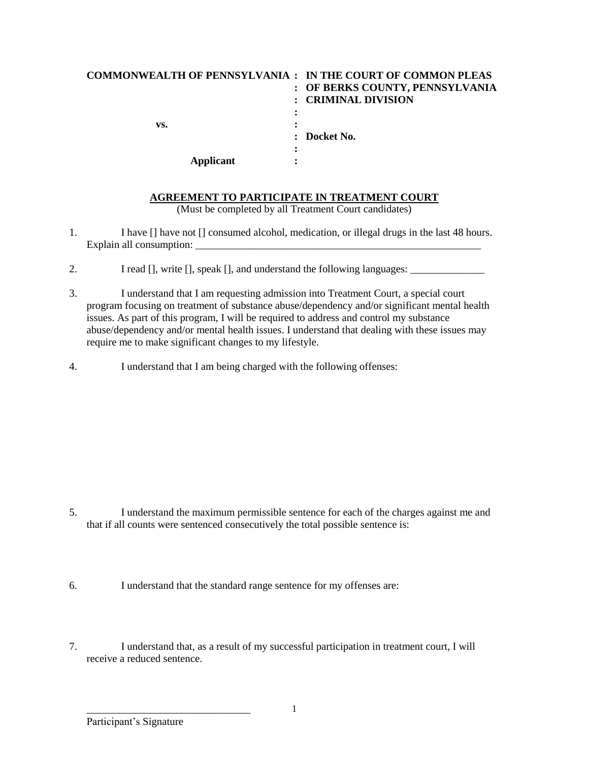| <b>COMMONWEALTH OF PENNSYLVANIA : IN THE COURT OF COMMON PLEAS</b> |                                 |
|--------------------------------------------------------------------|---------------------------------|
|                                                                    | : OF BERKS COUNTY, PENNSYLVANIA |
|                                                                    | <b>CRIMINAL DIVISION</b>        |
|                                                                    |                                 |
| vs.                                                                |                                 |
|                                                                    | $\therefore$ Docket No.         |
|                                                                    |                                 |
| Applicant                                                          |                                 |

## **AGREEMENT TO PARTICIPATE IN TREATMENT COURT**

(Must be completed by all Treatment Court candidates)

- 1. I have [] have not [] consumed alcohol, medication, or illegal drugs in the last 48 hours. Explain all consumption:
- 2. I read [], write [], speak [], and understand the following languages: \_\_\_\_\_\_\_\_\_\_\_\_\_
- 3. I understand that I am requesting admission into Treatment Court, a special court program focusing on treatment of substance abuse/dependency and/or significant mental health issues. As part of this program, I will be required to address and control my substance abuse/dependency and/or mental health issues. I understand that dealing with these issues may require me to make significant changes to my lifestyle.
- 4. I understand that I am being charged with the following offenses:

- 5. I understand the maximum permissible sentence for each of the charges against me and that if all counts were sentenced consecutively the total possible sentence is:
- 6. I understand that the standard range sentence for my offenses are:
- 7. I understand that, as a result of my successful participation in treatment court, I will receive a reduced sentence.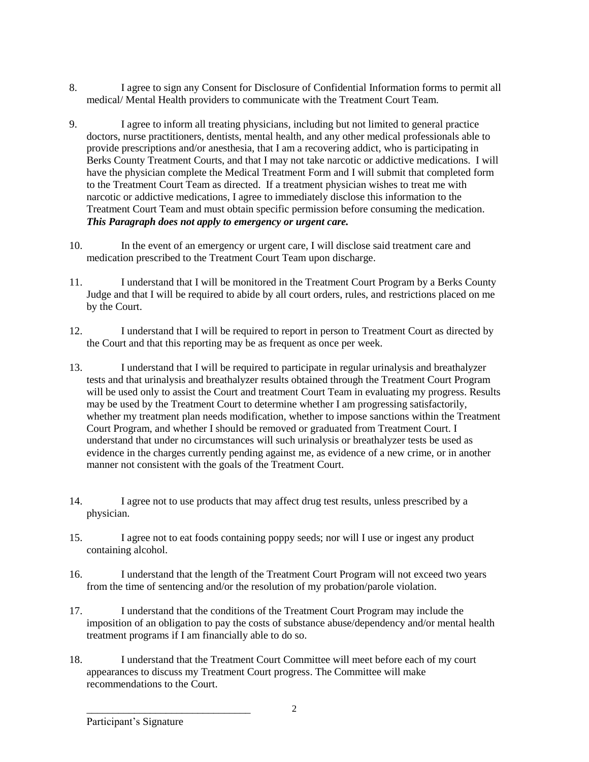- 8. I agree to sign any Consent for Disclosure of Confidential Information forms to permit all medical/ Mental Health providers to communicate with the Treatment Court Team.
- 9. I agree to inform all treating physicians, including but not limited to general practice doctors, nurse practitioners, dentists, mental health, and any other medical professionals able to provide prescriptions and/or anesthesia, that I am a recovering addict, who is participating in Berks County Treatment Courts, and that I may not take narcotic or addictive medications. I will have the physician complete the Medical Treatment Form and I will submit that completed form to the Treatment Court Team as directed. If a treatment physician wishes to treat me with narcotic or addictive medications, I agree to immediately disclose this information to the Treatment Court Team and must obtain specific permission before consuming the medication. *This Paragraph does not apply to emergency or urgent care.*
- 10. In the event of an emergency or urgent care, I will disclose said treatment care and medication prescribed to the Treatment Court Team upon discharge.
- 11. I understand that I will be monitored in the Treatment Court Program by a Berks County Judge and that I will be required to abide by all court orders, rules, and restrictions placed on me by the Court.
- 12. I understand that I will be required to report in person to Treatment Court as directed by the Court and that this reporting may be as frequent as once per week.
- 13. I understand that I will be required to participate in regular urinalysis and breathalyzer tests and that urinalysis and breathalyzer results obtained through the Treatment Court Program will be used only to assist the Court and treatment Court Team in evaluating my progress. Results may be used by the Treatment Court to determine whether I am progressing satisfactorily, whether my treatment plan needs modification, whether to impose sanctions within the Treatment Court Program, and whether I should be removed or graduated from Treatment Court. I understand that under no circumstances will such urinalysis or breathalyzer tests be used as evidence in the charges currently pending against me, as evidence of a new crime, or in another manner not consistent with the goals of the Treatment Court.
- 14. I agree not to use products that may affect drug test results, unless prescribed by a physician.
- 15. I agree not to eat foods containing poppy seeds; nor will I use or ingest any product containing alcohol.
- 16. I understand that the length of the Treatment Court Program will not exceed two years from the time of sentencing and/or the resolution of my probation/parole violation.
- 17. I understand that the conditions of the Treatment Court Program may include the imposition of an obligation to pay the costs of substance abuse/dependency and/or mental health treatment programs if I am financially able to do so.
- 18. I understand that the Treatment Court Committee will meet before each of my court appearances to discuss my Treatment Court progress. The Committee will make recommendations to the Court.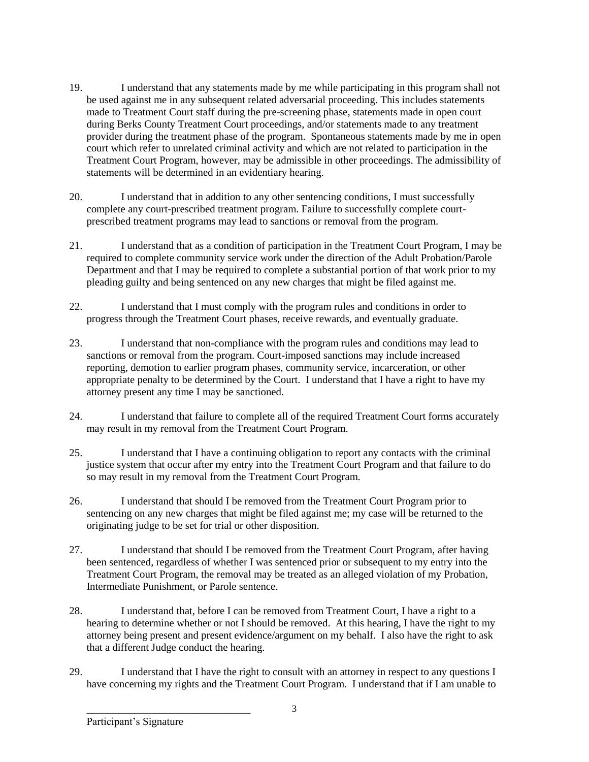- 19. I understand that any statements made by me while participating in this program shall not be used against me in any subsequent related adversarial proceeding. This includes statements made to Treatment Court staff during the pre-screening phase, statements made in open court during Berks County Treatment Court proceedings, and/or statements made to any treatment provider during the treatment phase of the program. Spontaneous statements made by me in open court which refer to unrelated criminal activity and which are not related to participation in the Treatment Court Program, however, may be admissible in other proceedings. The admissibility of statements will be determined in an evidentiary hearing.
- 20. I understand that in addition to any other sentencing conditions, I must successfully complete any court-prescribed treatment program. Failure to successfully complete courtprescribed treatment programs may lead to sanctions or removal from the program.
- 21. I understand that as a condition of participation in the Treatment Court Program, I may be required to complete community service work under the direction of the Adult Probation/Parole Department and that I may be required to complete a substantial portion of that work prior to my pleading guilty and being sentenced on any new charges that might be filed against me.
- 22. I understand that I must comply with the program rules and conditions in order to progress through the Treatment Court phases, receive rewards, and eventually graduate.
- 23. I understand that non-compliance with the program rules and conditions may lead to sanctions or removal from the program. Court-imposed sanctions may include increased reporting, demotion to earlier program phases, community service, incarceration, or other appropriate penalty to be determined by the Court. I understand that I have a right to have my attorney present any time I may be sanctioned.
- 24. I understand that failure to complete all of the required Treatment Court forms accurately may result in my removal from the Treatment Court Program.
- 25. I understand that I have a continuing obligation to report any contacts with the criminal justice system that occur after my entry into the Treatment Court Program and that failure to do so may result in my removal from the Treatment Court Program.
- 26. I understand that should I be removed from the Treatment Court Program prior to sentencing on any new charges that might be filed against me; my case will be returned to the originating judge to be set for trial or other disposition.
- 27. I understand that should I be removed from the Treatment Court Program, after having been sentenced, regardless of whether I was sentenced prior or subsequent to my entry into the Treatment Court Program, the removal may be treated as an alleged violation of my Probation, Intermediate Punishment, or Parole sentence.
- 28. I understand that, before I can be removed from Treatment Court, I have a right to a hearing to determine whether or not I should be removed. At this hearing, I have the right to my attorney being present and present evidence/argument on my behalf. I also have the right to ask that a different Judge conduct the hearing.
- 29. I understand that I have the right to consult with an attorney in respect to any questions I have concerning my rights and the Treatment Court Program. I understand that if I am unable to